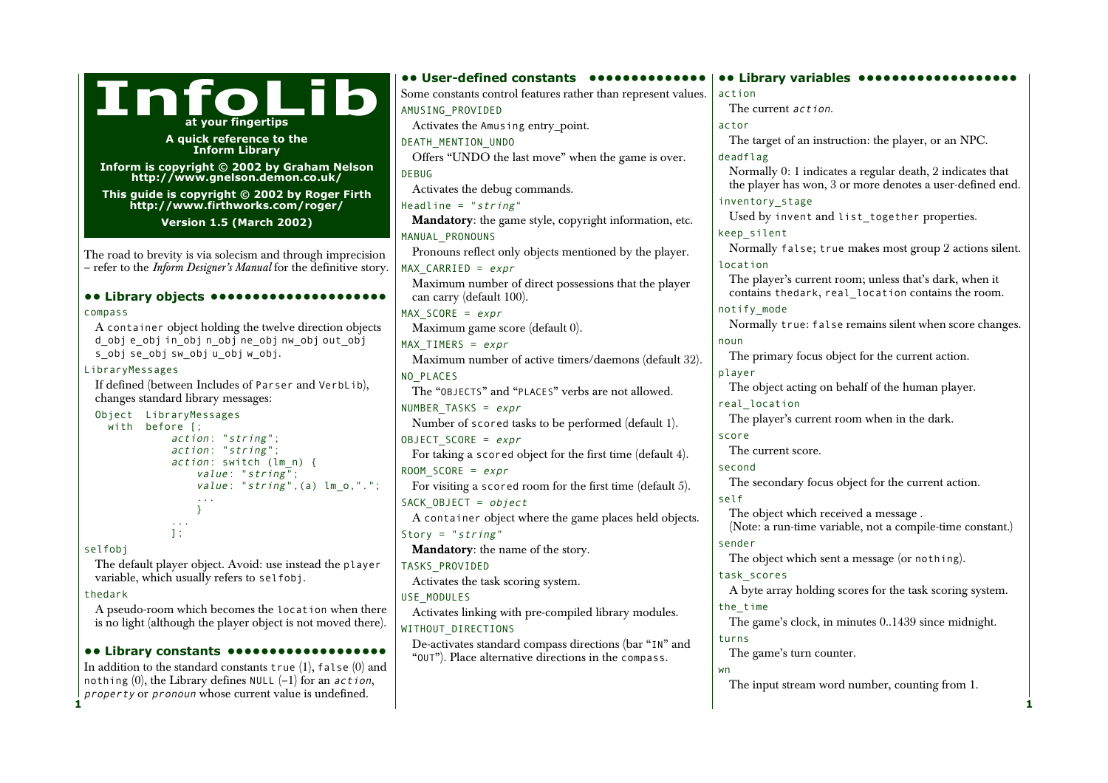|                                                                                   | <b> User-defined constants </b>                               | <b></b> Library variables <b></b>                         |
|-----------------------------------------------------------------------------------|---------------------------------------------------------------|-----------------------------------------------------------|
| <b>InfoLib</b>                                                                    | Some constants control features rather than represent values. | action                                                    |
|                                                                                   | AMUSING_PROVIDED                                              | The current <i>action</i> .                               |
| at your fingertips                                                                | Activates the Amusing entry_point.                            | actor                                                     |
| A quick reference to the                                                          | DEATH MENTION UNDO                                            | The target of an instruction: the player, or an NPC.      |
| <b>Inform Library</b>                                                             | Offers "UNDO the last move" when the game is over.            | deadflag                                                  |
| Inform is copyright © 2002 by Graham Nelson                                       | <b>DEBUG</b>                                                  | Normally 0: 1 indicates a regular death, 2 indicates that |
| http://www.gnelson.demon.co.uk/                                                   | Activates the debug commands.                                 | the player has won, 3 or more denotes a user-defined end. |
| This guide is copyright © 2002 by Roger Firth<br>http://www.firthworks.com/roger/ | Headline = " $string$ "                                       | inventory stage                                           |
| <b>Version 1.5 (March 2002)</b>                                                   | Mandatory: the game style, copyright information, etc.        | Used by invent and list_together properties.              |
|                                                                                   | MANUAL_PRONOUNS                                               | keep silent                                               |
| The road to brevity is via solecism and through imprecision                       | Pronouns reflect only objects mentioned by the player.        | Normally false; true makes most group 2 actions silent.   |
| - refer to the Inform Designer's Manual for the definitive story.                 | MAX CARRIED = $expr$                                          | location                                                  |
|                                                                                   | Maximum number of direct possessions that the player          | The player's current room; unless that's dark, when it    |
| <b></b> Library objects                                                           | can carry (default 100).                                      | contains thedark, real_location contains the room.        |
| compass                                                                           | $MAX_SCORE = expr$                                            | notify_mode                                               |
| A container object holding the twelve direction objects                           | Maximum game score (default 0).                               | Normally true: false remains silent when score changes.   |
| d_obje_objin_objn_objne_objnw_objout_obj                                          | MAX TIMERS = $expr$                                           | noun                                                      |
| s_obj se_obj sw_obj u_obj w_obj.                                                  | Maximum number of active timers/daemons (default 32).         | The primary focus object for the current action.          |
| LibraryMessages                                                                   | NO_PLACES                                                     | player                                                    |
| If defined (between Includes of Parser and VerbLib),                              | The "OBJECTS" and "PLACES" verbs are not allowed.             | The object acting on behalf of the human player.          |
| changes standard library messages:                                                | NUMBER TASKS = $expr$                                         | real_location                                             |
| Object LibraryMessages<br>with before [;                                          | Number of scored tasks to be performed (default 1).           | The player's current room when in the dark.               |
| action: "string";                                                                 | OBJECT SCORE = $expr$                                         | score                                                     |
| action: "string";                                                                 | For taking a scored object for the first time (default 4).    | The current score.                                        |
| action: switch (lm_n) {<br>value: "string";                                       | ROOM SCORE = $expr$                                           | second                                                    |
| $value: "string", (a) lm_0, ".";$                                                 | For visiting a scored room for the first time (default $5$ ). | The secondary focus object for the current action.        |
|                                                                                   | SACK OBJECT = $object$                                        | self                                                      |
|                                                                                   | A container object where the game places held objects.        | The object which received a message.                      |
| $\exists$ :                                                                       | Story = " $string$ "                                          | (Note: a run-time variable, not a compile-time constant.) |
| selfobj                                                                           | Mandatory: the name of the story.                             | sender                                                    |
| The default player object. Avoid: use instead the player                          | TASKS PROVIDED                                                | The object which sent a message (or nothing).             |
| variable, which usually refers to selfobj.                                        | Activates the task scoring system.                            | task scores                                               |
| thedark                                                                           | USE MODULES                                                   | A byte array holding scores for the task scoring system.  |
| A pseudo-room which becomes the location when there                               | Activates linking with pre-compiled library modules.          | the time                                                  |
| is no light (although the player object is not moved there).                      | WITHOUT DIRECTIONS                                            | The game's clock, in minutes 01439 since midnight.        |
|                                                                                   | De-activates standard compass directions (bar "IN" and        | turns                                                     |
| <b></b> Library constants                                                         | "OUT"). Place alternative directions in the compass.          | The game's turn counter.                                  |
| In addition to the standard constants $true(1)$ , $false(0)$ and                  |                                                               | wn                                                        |

**1 1**

nothing (0), the Library defines NULL  $(-1)$  for an *action*, property or pronoun whose current value is undefined.

The input stream word number, counting from 1.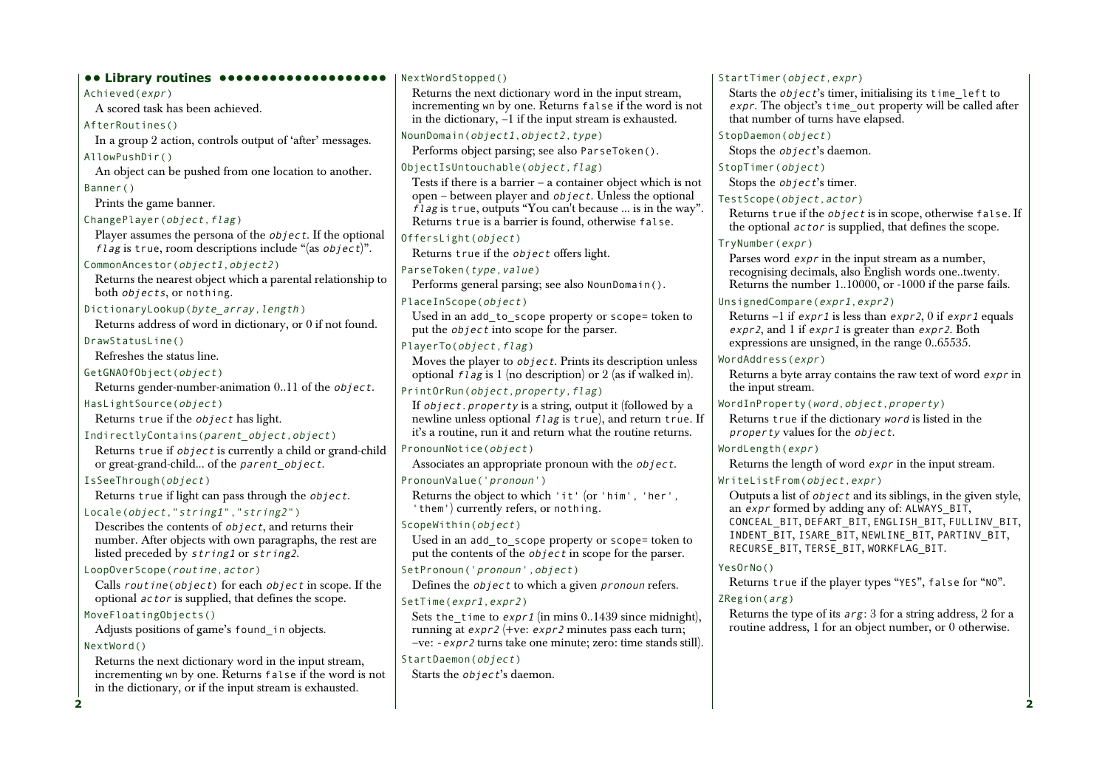**•• Library routines ••••••••••••••••••••** Achieved(expr) A scored task has been achieved. AfterRoutines() In a group 2 action, controls output of 'after' messages. AllowPushDir() An object can be pushed from one location to another. Banner() Prints the game banner. ChangePlayer(object, flag) Player assumes the persona of the *object*. If the optional flag is true, room descriptions include "(as  $object$ )". CommonAncestor(object1,object2) Returns the nearest object which a parental relationship to both objects, or nothing. DictionaryLookup(byte\_array, length) Returns address of word in dictionary, or 0 if not found. DrawStatusLine() Refreshes the status line. GetGNAOfObject(object) Returns gender-number-animation 0..11 of the object. HasLightSource(object) Returns true if the object has light. IndirectlyContains(parent\_object,object) Returns true if object is currently a child or grand-child or great-grand-child... of the parent object. IsSeeThrough(object) Returns true if light can pass through the object. Locale(object,"string1","string2") Describes the contents of object, and returns their number. After objects with own paragraphs, the rest are listed preceded by string1 or string2. LoopOverScope(routine,actor) Calls routine(object) for each object in scope. If the optional actor is supplied, that defines the scope. MoveFloatingObjects() Adjusts positions of game's found\_in objects. NextWord() Returns the next dictionary word in the input stream, incrementing wn by one. Returns false if the word is not in the dictionary, or if the input stream is exhausted.

### NextWordStopped() Returns the next dictionary word in the input stream, incrementing wn by one. Returns false if the word is not in the dictionary, –1 if the input stream is exhausted. NounDomain(object1,object2,type) Performs object parsing; see also ParseToken(). ObjectIsUntouchable(object,flag) Tests if there is a barrier – a container object which is not open – between player and  $\omega$  *i* ect. Unless the optional  $\hat{f}$ l ag is true, outputs "You can't because ... is in the way". Returns true is a barrier is found, otherwise false. OffersLight(object) Returns true if the object offers light. ParseToken(type,value) Performs general parsing; see also NounDomain(). PlaceInScope(object) Used in an add to scope property or scope= token to put the  $object$  into scope for the parser. PlayerTo(object,flag) Moves the player to *object*. Prints its description unless optional  $f \, \overline{\iota}$  ag is 1 (no description) or 2 (as if walked in). PrintOrRun(object,property,flag) If object.property is a string, output it (followed by a newline unless optional  $f \, \overline{\overline{f}}$  and  $\overline{\overline{f}}$  and  $\overline{\overline{f}}$  and  $\overline{\overline{f}}$  are  $\overline{\overline{f}}$ it's a routine, run it and return what the routine returns. PronounNotice(object) Associates an appropriate pronoun with the object. PronounValue('pronoun') Returns the object to which 'it' (or 'him', 'her', 'them') currently refers, or nothing. ScopeWithin(*object*) Used in an add to scope property or scope= token to put the contents of the *object* in scope for the parser. SetPronoun('pronoun',object) Defines the object to which a given pronoun refers. SetTime(expr1,expr2) Sets the time to  $\exp t1$  (in mins 0..1439 since midnight), running at expr2 (+ve: expr2 minutes pass each turn; –ve: -expr2 turns take one minute; zero: time stands still). StartDaemon(object)

Starts the object's daemon.

#### StartTimer(object.expr)

Starts the  $object's$  timer, initialising its time left to expr. The object's time out property will be called after that number of turns have elapsed.

## StopDaemon(object)

Stops the *object*'s daemon.

## StopTimer(*object*)

Stops the *object*'s timer.

### TestScope(object,actor)

Returns true if the object is in scope, otherwise false. If the optional actor is supplied, that defines the scope.

### TryNumber(expr)

Parses word expr in the input stream as a number, recognising decimals, also English words one..twenty. Returns the number 1..10000, or -1000 if the parse fails.

## UnsignedCompare(expr1,expr2)

Returns –1 if  $\exp r1$  is less than  $\exp r2$ , 0 if  $\exp r1$  equals expr2, and 1 if expr1 is greater than expr2. Both expressions are unsigned, in the range 0..65535.

## WordAddress(expr)

Returns a byte array contains the raw text of word expr in the input stream.

## WordInProperty(word,object,property)

Returns true if the dictionary word is listed in the  $property$  values for the  $object.$ 

## WordLength(expr)

Returns the length of word expr in the input stream.

## WriteListFrom(*obiect.expr*)

Outputs a list of object and its siblings, in the given style, an *expr* formed by adding any of: ALWAYS BIT, CONCEAL\_BIT, DEFART\_BIT, ENGLISH\_BIT, FULLINV\_BIT, INDENT\_BIT, ISARE\_BIT, NEWLINE\_BIT, PARTINV\_BIT, RECURSE BIT, TERSE BIT, WORKFLAG BIT.

## YesOrNo()

Returns true if the player types "YES", false for "NO".

## ZRegion(arg)

Returns the type of its arg: 3 for a string address, 2 for a routine address, 1 for an object number, or 0 otherwise.

**2**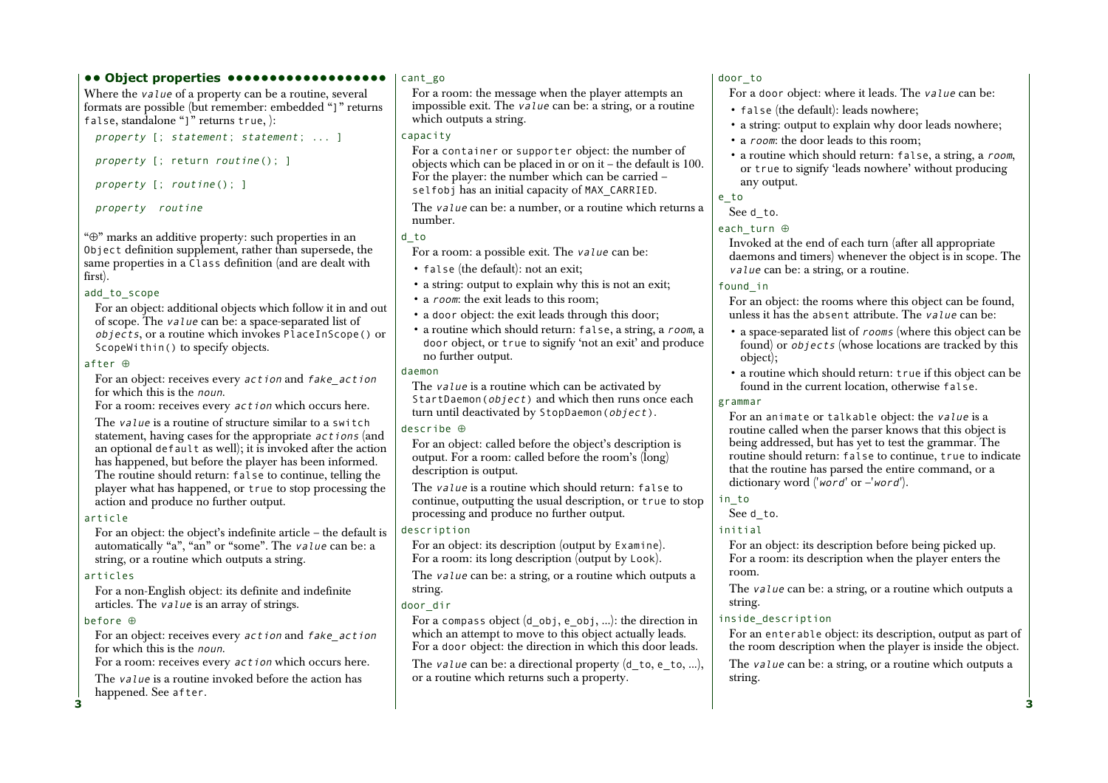#### **•• Object properties •••••••••••••••••••**

Where the *value* of a property can be a routine, several formats are possible (but remember: embedded "]" returns false, standalone "]" returns true, ):

property [; statement; statement; ... ]

property [; return routine(); ]

property [; routine(); ]

property routine

"⊕" marks an additive property: such properties in an Object definition supplement, rather than supersede, the same properties in a Class definition (and are dealt with first).

### add to scope

For an object: additional objects which follow it in and out of scope. The value can be: a space-separated list of objects, or a routine which invokes PlaceInScope() or ScopeWithin() to specify objects.

#### after ⊕

For an object: receives every action and fake\_action for which this is the noun.

For a room: receives every action which occurs here.

The value is a routine of structure similar to a switch statement, having cases for the appropriate actions (and an optional default as well); it is invoked after the action has happened, but before the player has been informed. The routine should return: false to continue, telling the player what has happened, or true to stop processing the action and produce no further output.

### article

For an object: the object's indefinite article – the default is automatically "a", "an" or "some". The value can be: a string, or a routine which outputs a string.

### articles

For a non-English object: its definite and indefinite articles. The value is an array of strings.

### before ⊕

**3**

For an object: receives every action and fake\_action for which this is the noun.

For a room: receives every action which occurs here.

The value is a routine invoked before the action has happened. See after.

#### cant\_go

For a room: the message when the player attempts an impossible exit. The  $\overline{v}$  alue can be: a string, or a routine which outputs a string.

#### capacity

For a container or supporter object: the number of objects which can be placed in or on it – the default is 100. For the player: the number which can be carried – selfobj has an initial capacity of MAX\_CARRIED.

The *value* can be: a number, or a routine which returns a number.

### d\_to

For a room: a possible exit. The value can be:

- false (the default): not an exit;
- a string: output to explain why this is not an exit;
- a *room*: the exit leads to this room;
- a door object: the exit leads through this door;
- a routine which should return: false, a string, a room, <sup>a</sup> door object, or true to signify 'not an exit' and produce no further output.

### daemon

The *value* is a routine which can be activated by StartDaemon(*object*) and which then runs once each turn until deactivated by StopDaemon(object).

### describe ⊕

For an object: called before the object's description is output. For a room: called before the room's (long) description is output.

The value is a routine which should return: false to continue, outputting the usual description, or true to stop processing and produce no further output.

### description

For an object: its description (output by Examine). For a room: its long description (output by Look).

The *value* can be: a string, or a routine which outputs a string.

## door\_dir

For a compass object  $(d \circ b)$ , e $\circ b$ j, ...): the direction in which an attempt to move to this object actually leads. For a door object: the direction in which this door leads.

The value can be: a directional property  $(d_0, e_1, d_0)$ , or a routine which returns such a property.

### door\_to

For a door object: where it leads. The value can be:

- false (the default): leads nowhere;
- a string: output to explain why door leads nowhere;
- a *room*: the door leads to this room;
- a routine which should return: false, a string, a room, or true to signify 'leads nowhere' without producing any output.

## e\_to

### See d\_to.

### each\_turn ⊕

Invoked at the end of each turn (after all appropriate daemons and timers) whenever the object is in scope. The value can be: a string, or a routine.

### found\_in

For an object: the rooms where this object can be found, unless it has the absent attribute. The value can be:

- a space-separated list of rooms (where this object can be found) or *objects* (whose locations are tracked by this object);
- a routine which should return: true if this object can be found in the current location, otherwise false.

### grammar

For an animate or talkable object: the value is a routine called when the parser knows that this object is being addressed, but has yet to test the grammar. The routine should return: false to continue, true to indicate that the routine has parsed the entire command, or a dictionary word ('word' or -'word').

### in\_to

See d\_to.

## initial

For an object: its description before being picked up. For a room: its description when the player enters the room.

The *value* can be: a string, or a routine which outputs a string.

### inside\_description

For an enterable object: its description, output as part of the room description when the player is inside the object. The *value* can be: a string, or a routine which outputs a string.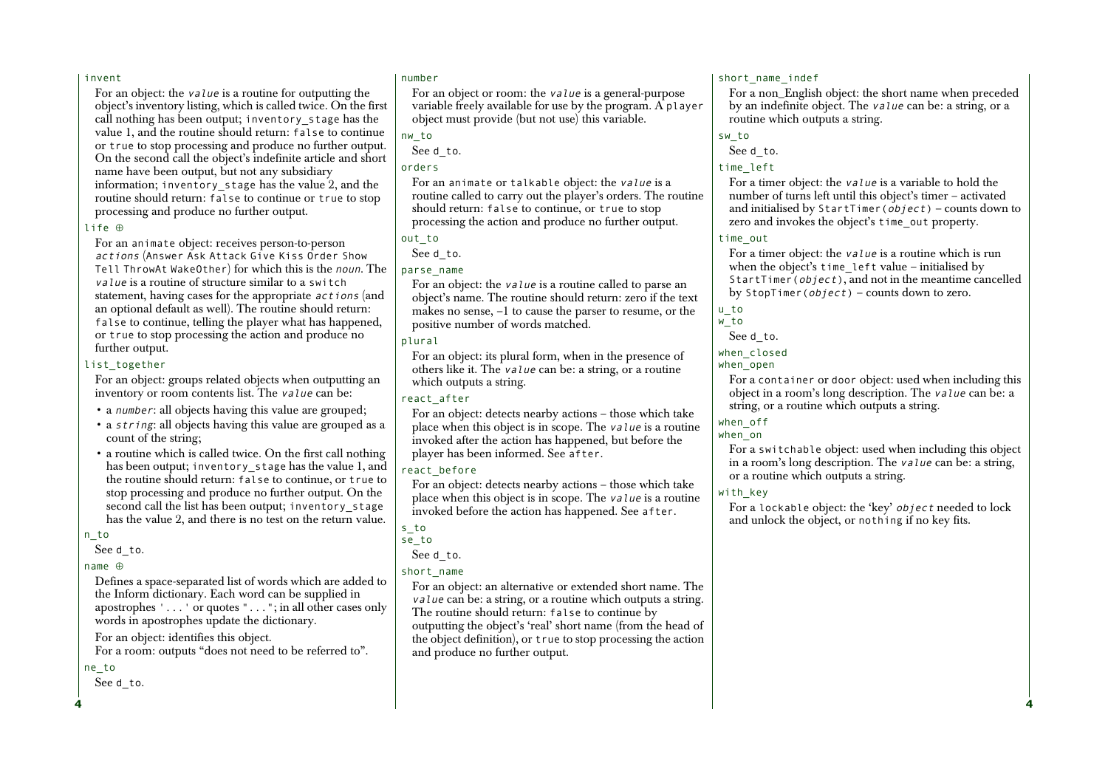#### invent

For an object: the value is a routine for outputting the object's inventory listing, which is called twice. On the first call nothing has been output; inventory\_stage has the value 1, and the routine should return: false to continue or true to stop processing and produce no further output. On the second call the object's indefinite article and short name have been output, but not any subsidiary information; inventory\_stage has the value 2, and the routine should return: false to continue or true to stop processing and produce no further output.

#### life ⊕

For an animate object: receives person-to-person actions (Answer Ask Attack Give Kiss Order Show Tell ThrowAt WakeOther) for which this is the noun. The value is a routine of structure similar to a switchstatement, having cases for the appropriate actions (and an optional default as well). The routine should return: false to continue, telling the player what has happened, or true to stop processing the action and produce no further output.

#### list together

For an object: groups related objects when outputting an inventory or room contents list. The value can be:

- a *number*: all objects having this value are grouped;
- a  $string:$  all objects having this value are grouped as a count of the string;
- a routine which is called twice. On the first call nothing has been output; inventory stage has the value 1, and the routine should return: false to continue, or true to stop processing and produce no further output. On the second call the list has been output; inventory\_stage has the value 2, and there is no test on the return value.

n\_to

See d\_to.

#### name ⊕

Defines a space-separated list of words which are added to the Inform dictionary. Each word can be supplied in apostrophes '...' or quotes "..."; in all other cases only words in apostrophes update the dictionary.

For an object: identifies this object. For a room: outputs "does not need to be referred to".

#### ne\_to

**4**

See d\_to.

#### number

For an object or room: the value is a general-purpose variable freely available for use by the program. A player object must provide (but not use) this variable.

nw\_to

See d\_to.

#### orders

For an animate or talkable object: the value is a routine called to carry out the player's orders. The routine should return: false to continue, or true to stop processing the action and produce no further output.

See d\_to.

parse\_name

For an object: the value is a routine called to parse an object's name. The routine should return: zero if the text makes no sense, –1 to cause the parser to resume, or the positive number of words matched.

#### plural

For an object: its plural form, when in the presence of others like it. The value can be: a string, or a routine which outputs a string.

#### react\_after

For an object: detects nearby actions – those which take place when this object is in scope. The value is a routine invoked after the action has happened, but before the player has been informed. See after.

### react\_before

For an object: detects nearby actions – those which take place when this object is in scope. The value is a routine invoked before the action has happened. See after.

s\_to

se\_to

## See d\_to.

short\_name

For an object: an alternative or extended short name. The value can be: a string, or a routine which outputs a string. The routine should return: false to continue by outputting the object's 'real' short name (from the head of the object definition), or true to stop processing the action and produce no further output.

#### short name indef

For a non\_English object: the short name when preceded by an indefinite object. The value can be: a string, or a routine which outputs a string.

sw\_to

See d\_to.

### time\_left

For a timer object: the value is a variable to hold the number of turns left until this object's timer – activated and initialised by StartTimer( $object$ ) – counts down to zero and invokes the object's time\_out property.

### time\_out

For a timer object: the value is a routine which is run when the object's time left value – initialised by StartTimer(object), and not in the meantime cancelled by StopTimer( $object$ ) – counts down to zero.

## u\_to

w\_to

# See d\_to.

when closed

when open

For a container or door object: used when including this object in a room's long description. The value can be: a string, or a routine which outputs a string.

### when\_off

when\_on For a switchable object: used when including this object in a room's long description. The value can be: a string, or a routine which outputs a string.

### with key

For a lockable object: the 'key' object needed to lock and unlock the object, or nothing if no key fits.

out\_to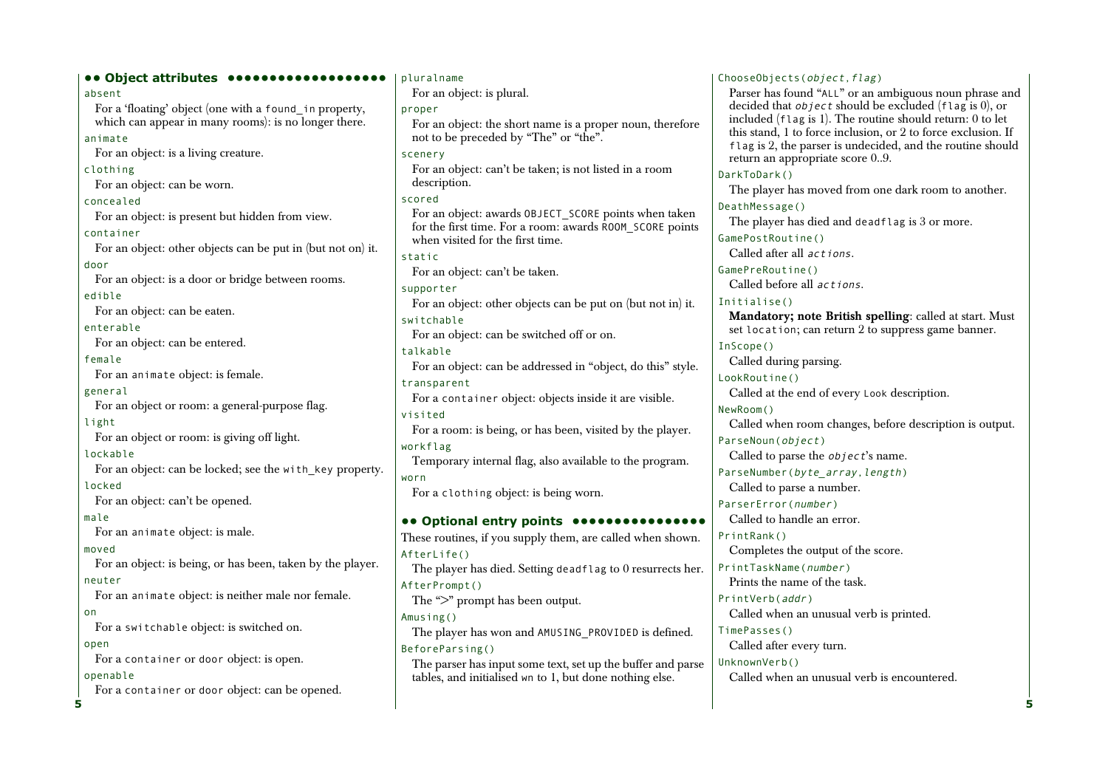| <b> Object attributes </b>                                  | pluralname                                                                                   | ChooseObjects(object, flag)                                                                                                 |
|-------------------------------------------------------------|----------------------------------------------------------------------------------------------|-----------------------------------------------------------------------------------------------------------------------------|
| absent                                                      | For an object: is plural.                                                                    | Parser has found "ALL" or an ambiguous noun phrase and                                                                      |
| For a 'floating' object (one with a found_in property,      | proper                                                                                       | decided that <i>object</i> should be excluded ( $\text{flag}$ is 0), or                                                     |
| which can appear in many rooms): is no longer there.        | For an object: the short name is a proper noun, therefore                                    | included $(f \text{lag is 1})$ . The routine should return: 0 to let                                                        |
| animate                                                     | not to be preceded by "The" or "the".                                                        | this stand, 1 to force inclusion, or 2 to force exclusion. If<br>flag is 2, the parser is undecided, and the routine should |
| For an object: is a living creature.                        | scenery                                                                                      | return an appropriate score 09.                                                                                             |
| clothing                                                    | For an object: can't be taken; is not listed in a room                                       | DarkToDark()                                                                                                                |
| For an object: can be worn.                                 | description.                                                                                 | The player has moved from one dark room to another.                                                                         |
| concealed                                                   | scored                                                                                       | DeathMessage()                                                                                                              |
| For an object: is present but hidden from view.             | For an object: awards OBJECT_SCORE points when taken                                         | The player has died and deadflag is 3 or more.                                                                              |
| container                                                   | for the first time. For a room: awards R00M_SC0RE points<br>when visited for the first time. | GamePostRoutine()                                                                                                           |
| For an object: other objects can be put in (but not on) it. |                                                                                              | Called after all actions.                                                                                                   |
| door                                                        | static<br>For an object: can't be taken.                                                     | GamePreRoutine()                                                                                                            |
| For an object: is a door or bridge between rooms.           |                                                                                              | Called before all actions.                                                                                                  |
| edible                                                      | supporter<br>For an object: other objects can be put on (but not in) it.                     | Initialise()                                                                                                                |
| For an object: can be eaten.                                | switchable                                                                                   | Mandatory; note British spelling: called at start. Must                                                                     |
| enterable                                                   | For an object: can be switched off or on.                                                    | set location; can return 2 to suppress game banner.                                                                         |
| For an object: can be entered.                              | talkable                                                                                     | InScope()                                                                                                                   |
| female                                                      | For an object: can be addressed in "object, do this" style.                                  | Called during parsing.                                                                                                      |
| For an animate object: is female.                           | transparent                                                                                  | LookRoutine()                                                                                                               |
| general                                                     | For a container object: objects inside it are visible.                                       | Called at the end of every Look description.                                                                                |
| For an object or room: a general-purpose flag.              | visited                                                                                      | NewRoom()                                                                                                                   |
| light                                                       | For a room: is being, or has been, visited by the player.                                    | Called when room changes, before description is output.                                                                     |
| For an object or room: is giving off light.                 | workflag                                                                                     | ParseNoun(object)                                                                                                           |
| lockable                                                    | Temporary internal flag, also available to the program.                                      | Called to parse the <i>object</i> 's name.                                                                                  |
| For an object: can be locked; see the with_key property.    | worn                                                                                         | ParseNumber(byte_array, length)                                                                                             |
| locked                                                      | For a clothing object: is being worn.                                                        | Called to parse a number.                                                                                                   |
| For an object: can't be opened.                             |                                                                                              | ParserError(number)                                                                                                         |
| male                                                        | • Optional entry points •                                                                    | Called to handle an error.                                                                                                  |
| For an animate object: is male.                             | These routines, if you supply them, are called when shown.                                   | PrintRank()                                                                                                                 |
| moved                                                       | AfterLife()                                                                                  | Completes the output of the score.                                                                                          |
| For an object: is being, or has been, taken by the player.  | The player has died. Setting deadflag to 0 resurrects her.                                   | PrintTaskName(number)                                                                                                       |
| neuter                                                      | AfterPrompt()                                                                                | Prints the name of the task.                                                                                                |
| For an animate object: is neither male nor female.          | The ">" prompt has been output.                                                              | PrintVerb(addr)                                                                                                             |
| on                                                          | Amusing()                                                                                    | Called when an unusual verb is printed.                                                                                     |
| For a switchable object: is switched on.                    | The player has won and AMUSING_PROVIDED is defined.                                          | TimePasses()                                                                                                                |
| open                                                        | BeforeParsing()                                                                              | Called after every turn.                                                                                                    |
| For a container or door object: is open.                    | The parser has input some text, set up the buffer and parse                                  | UnknownVerb()                                                                                                               |
| openable                                                    | tables, and initialised wn to 1, but done nothing else.                                      | Called when an unusual verb is encountered.                                                                                 |
| For a container or door object: can be opened.              |                                                                                              |                                                                                                                             |
| 5                                                           |                                                                                              |                                                                                                                             |